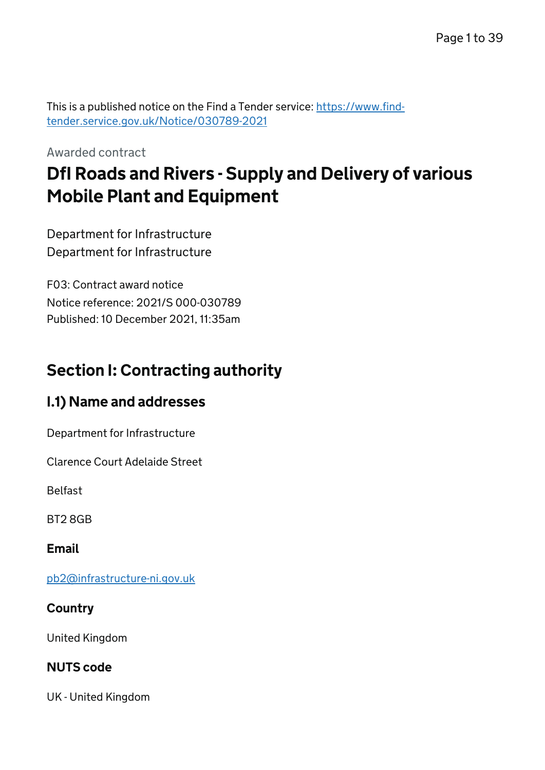This is a published notice on the Find a Tender service: [https://www.find](https://www.find-tender.service.gov.uk/Notice/030789-2021)[tender.service.gov.uk/Notice/030789-2021](https://www.find-tender.service.gov.uk/Notice/030789-2021)

Awarded contract

# DfI Roads and Rivers - Supply and Delivery of various Mobile Plant and Equipment

Department for Infrastructure Department for Infrastructure

F03: Contract award notice Notice reference: 2021/S 000-030789 Published: 10 December 2021, 11:35am

# Section I: Contracting authority

# I.1) Name and addresses

Department for Infrastructure

Clarence Court Adelaide Street

Belfast

BT2 8GB

Email

[pb2@infrastructure-ni.gov.uk](mailto:pb2@infrastructure-ni.gov.uk)

### **Country**

United Kingdom

### NUTS code

UK - United Kingdom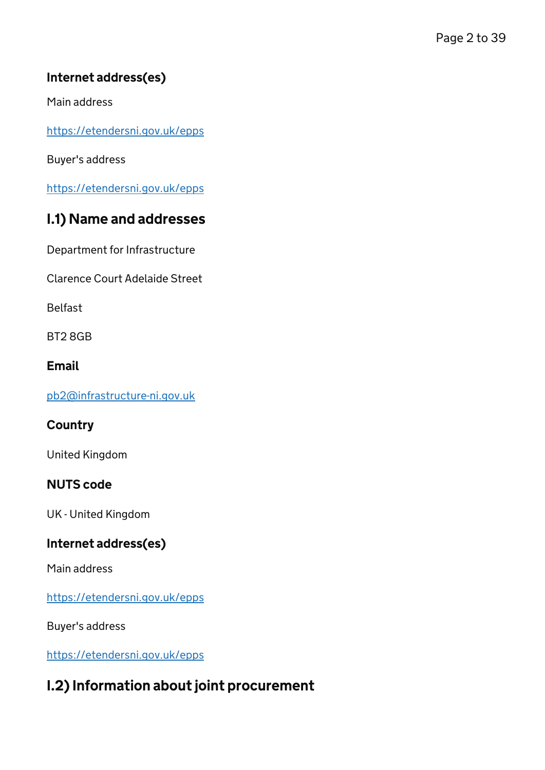## Internet address(es)

Main address

<https://etendersni.gov.uk/epps>

Buyer's address

<https://etendersni.gov.uk/epps>

# I.1) Name and addresses

Department for Infrastructure

Clarence Court Adelaide Street

Belfast

BT2 8GB

#### Email

[pb2@infrastructure-ni.gov.uk](mailto:pb2@infrastructure-ni.gov.uk)

### **Country**

United Kingdom

### NUTS code

UK - United Kingdom

### Internet address(es)

Main address

<https://etendersni.gov.uk/epps>

Buyer's address

<https://etendersni.gov.uk/epps>

# I.2) Information about joint procurement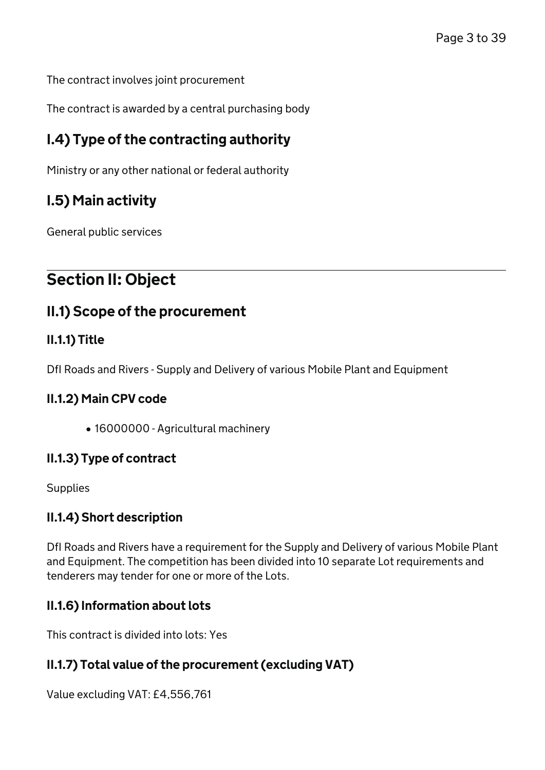The contract involves joint procurement

The contract is awarded by a central purchasing body

## I.4) Type of the contracting authority

Ministry or any other national or federal authority

# I.5) Main activity

General public services

# Section II: Object

## II.1) Scope of the procurement

### II.1.1) Title

DfI Roads and Rivers - Supply and Delivery of various Mobile Plant and Equipment

#### II.1.2) Main CPV code

16000000 - Agricultural machinery

#### II.1.3) Type of contract

**Supplies** 

### II.1.4) Short description

DfI Roads and Rivers have a requirement for the Supply and Delivery of various Mobile Plant and Equipment. The competition has been divided into 10 separate Lot requirements and tenderers may tender for one or more of the Lots.

### II.1.6) Information about lots

This contract is divided into lots: Yes

### II.1.7) Total value of the procurement (excluding VAT)

Value excluding VAT: £4,556,761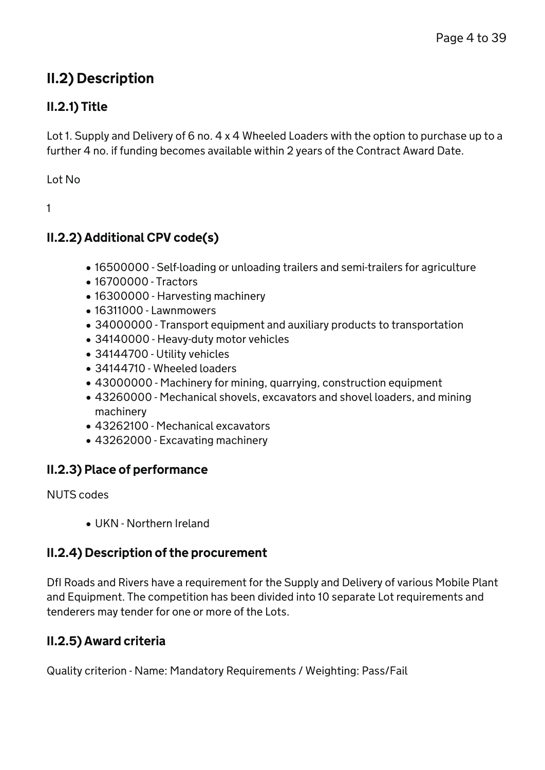# II.2) Description

## II.2.1) Title

Lot 1. Supply and Delivery of 6 no. 4 x 4 Wheeled Loaders with the option to purchase up to a further 4 no. if funding becomes available within 2 years of the Contract Award Date.

Lot No

1

## II.2.2) Additional CPV code(s)

- 16500000 Self-loading or unloading trailers and semi-trailers for agriculture
- 16700000 Tractors
- 16300000 Harvesting machinery
- 16311000 Lawnmowers
- 34000000 Transport equipment and auxiliary products to transportation
- 34140000 Heavy-duty motor vehicles
- 34144700 Utility vehicles
- 34144710 Wheeled loaders
- 43000000 Machinery for mining, quarrying, construction equipment
- 43260000 Mechanical shovels, excavators and shovel loaders, and mining machinery
- 43262100 Mechanical excavators
- 43262000 Excavating machinery

### II.2.3) Place of performance

NUTS codes

UKN - Northern Ireland

## II.2.4) Description of the procurement

DfI Roads and Rivers have a requirement for the Supply and Delivery of various Mobile Plant and Equipment. The competition has been divided into 10 separate Lot requirements and tenderers may tender for one or more of the Lots.

## II.2.5) Award criteria

Quality criterion - Name: Mandatory Requirements / Weighting: Pass/Fail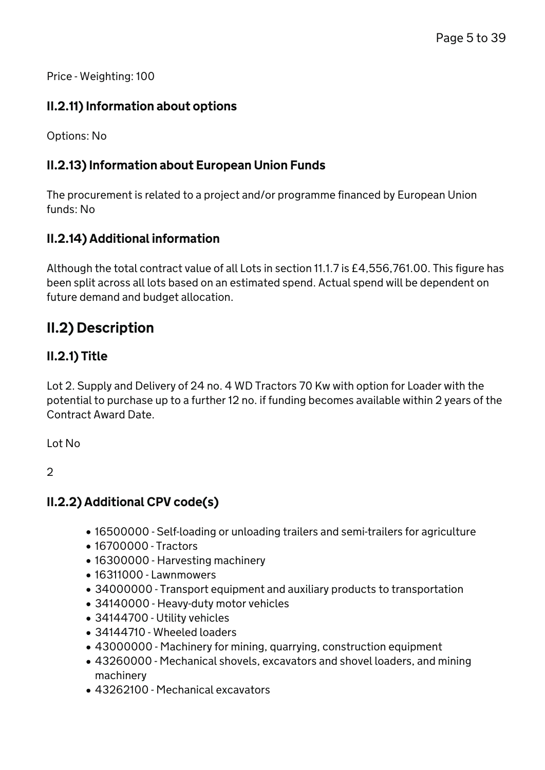Price - Weighting: 100

### II.2.11) Information about options

Options: No

### II.2.13) Information about European Union Funds

The procurement is related to a project and/or programme financed by European Union funds: No

### II.2.14) Additional information

Although the total contract value of all Lots in section 11.1.7 is £4,556,761.00. This figure has been split across all lots based on an estimated spend. Actual spend will be dependent on future demand and budget allocation.

# II.2) Description

### II.2.1) Title

Lot 2. Supply and Delivery of 24 no. 4 WD Tractors 70 Kw with option for Loader with the potential to purchase up to a further 12 no. if funding becomes available within 2 years of the Contract Award Date.

Lot No

2

### II.2.2) Additional CPV code(s)

- 16500000 Self-loading or unloading trailers and semi-trailers for agriculture
- 16700000 Tractors
- 16300000 Harvesting machinery
- 16311000 Lawnmowers
- 34000000 Transport equipment and auxiliary products to transportation
- 34140000 Heavy-duty motor vehicles
- 34144700 Utility vehicles
- 34144710 Wheeled loaders
- 43000000 Machinery for mining, quarrying, construction equipment
- 43260000 Mechanical shovels, excavators and shovel loaders, and mining machinery
- 43262100 Mechanical excavators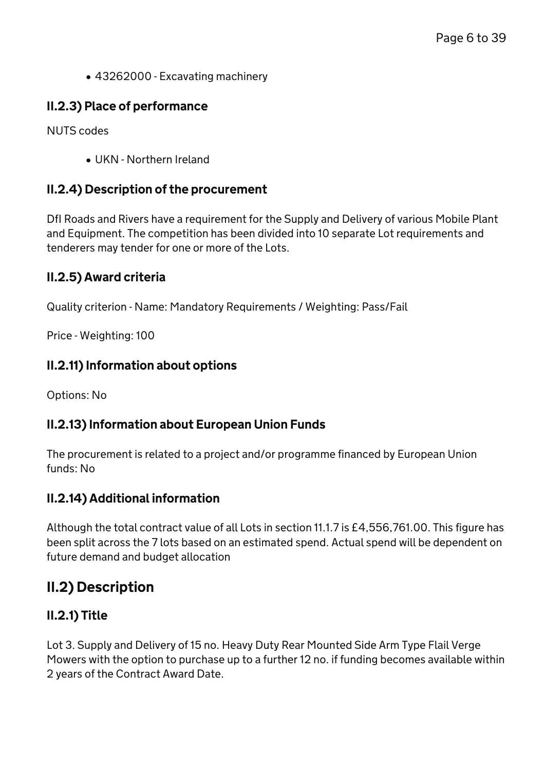43262000 - Excavating machinery

### II.2.3) Place of performance

NUTS codes

UKN - Northern Ireland

#### II.2.4) Description of the procurement

DfI Roads and Rivers have a requirement for the Supply and Delivery of various Mobile Plant and Equipment. The competition has been divided into 10 separate Lot requirements and tenderers may tender for one or more of the Lots.

### II.2.5) Award criteria

Quality criterion - Name: Mandatory Requirements / Weighting: Pass/Fail

Price - Weighting: 100

#### II.2.11) Information about options

Options: No

### II.2.13) Information about European Union Funds

The procurement is related to a project and/or programme financed by European Union funds: No

### II.2.14) Additional information

Although the total contract value of all Lots in section 11.1.7 is £4,556,761.00. This figure has been split across the 7 lots based on an estimated spend. Actual spend will be dependent on future demand and budget allocation

## II.2) Description

### II.2.1) Title

Lot 3. Supply and Delivery of 15 no. Heavy Duty Rear Mounted Side Arm Type Flail Verge Mowers with the option to purchase up to a further 12 no. if funding becomes available within 2 years of the Contract Award Date.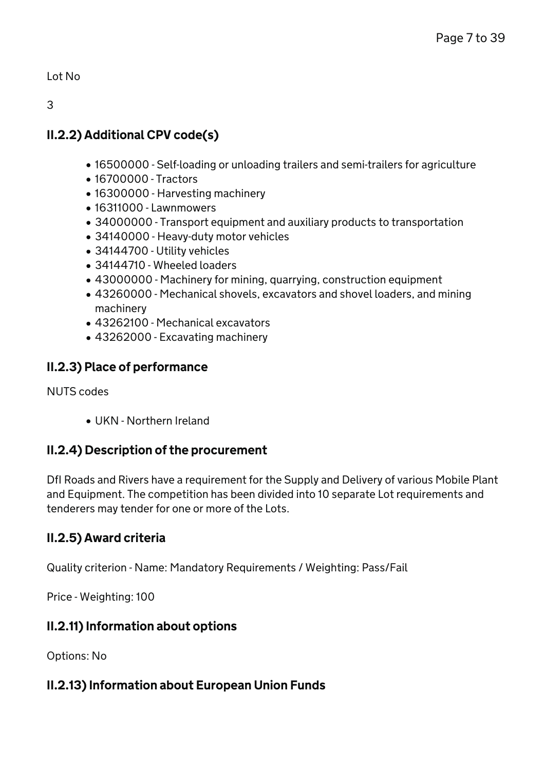Lot No

3

## II.2.2) Additional CPV code(s)

- 16500000 Self-loading or unloading trailers and semi-trailers for agriculture
- 16700000 Tractors
- 16300000 Harvesting machinery
- 16311000 Lawnmowers
- 34000000 Transport equipment and auxiliary products to transportation
- 34140000 Heavy-duty motor vehicles
- 34144700 Utility vehicles
- 34144710 Wheeled loaders
- 43000000 Machinery for mining, quarrying, construction equipment
- 43260000 Mechanical shovels, excavators and shovel loaders, and mining machinery
- 43262100 Mechanical excavators
- 43262000 Excavating machinery

## II.2.3) Place of performance

NUTS codes

UKN - Northern Ireland

## II.2.4) Description of the procurement

DfI Roads and Rivers have a requirement for the Supply and Delivery of various Mobile Plant and Equipment. The competition has been divided into 10 separate Lot requirements and tenderers may tender for one or more of the Lots.

## II.2.5) Award criteria

Quality criterion - Name: Mandatory Requirements / Weighting: Pass/Fail

Price - Weighting: 100

## II.2.11) Information about options

Options: No

## II.2.13) Information about European Union Funds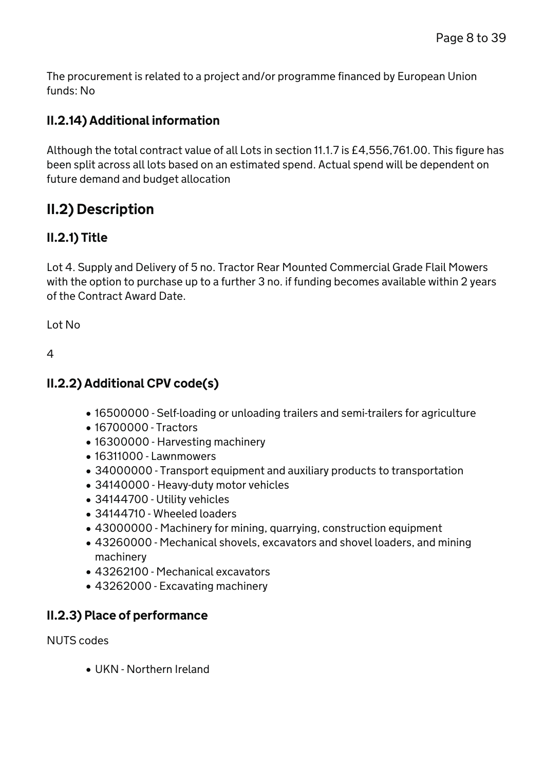The procurement is related to a project and/or programme financed by European Union funds: No

### II.2.14) Additional information

Although the total contract value of all Lots in section 11.1.7 is £4,556,761.00. This figure has been split across all lots based on an estimated spend. Actual spend will be dependent on future demand and budget allocation

# II.2) Description

### II.2.1) Title

Lot 4. Supply and Delivery of 5 no. Tractor Rear Mounted Commercial Grade Flail Mowers with the option to purchase up to a further 3 no. if funding becomes available within 2 years of the Contract Award Date.

Lot No

4

## II.2.2) Additional CPV code(s)

- 16500000 Self-loading or unloading trailers and semi-trailers for agriculture
- 16700000 Tractors
- 16300000 Harvesting machinery
- 16311000 Lawnmowers
- 34000000 Transport equipment and auxiliary products to transportation
- 34140000 Heavy-duty motor vehicles
- 34144700 Utility vehicles
- 34144710 Wheeled loaders
- 43000000 Machinery for mining, quarrying, construction equipment
- 43260000 Mechanical shovels, excavators and shovel loaders, and mining machinery
- 43262100 Mechanical excavators
- 43262000 Excavating machinery

### II.2.3) Place of performance

NUTS codes

UKN - Northern Ireland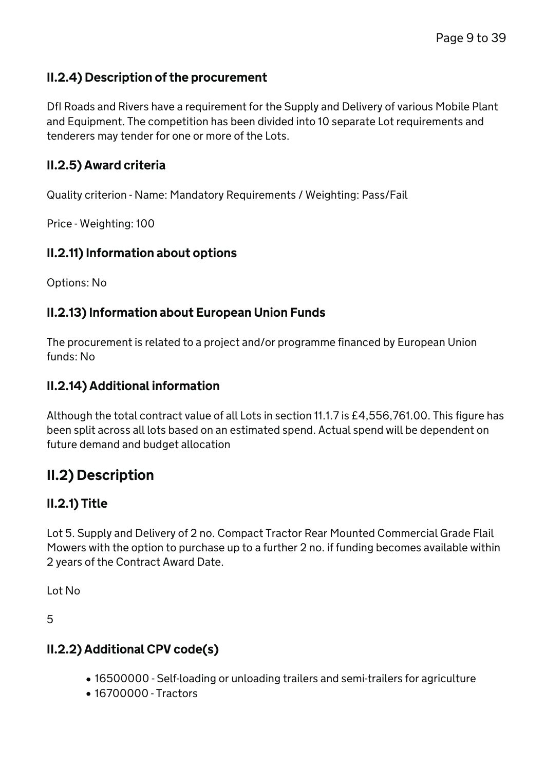### II.2.4) Description of the procurement

DfI Roads and Rivers have a requirement for the Supply and Delivery of various Mobile Plant and Equipment. The competition has been divided into 10 separate Lot requirements and tenderers may tender for one or more of the Lots.

### II.2.5) Award criteria

Quality criterion - Name: Mandatory Requirements / Weighting: Pass/Fail

Price - Weighting: 100

#### II.2.11) Information about options

Options: No

### II.2.13) Information about European Union Funds

The procurement is related to a project and/or programme financed by European Union funds: No

### II.2.14) Additional information

Although the total contract value of all Lots in section 11.1.7 is £4,556,761.00. This figure has been split across all lots based on an estimated spend. Actual spend will be dependent on future demand and budget allocation

## II.2) Description

### II.2.1) Title

Lot 5. Supply and Delivery of 2 no. Compact Tractor Rear Mounted Commercial Grade Flail Mowers with the option to purchase up to a further 2 no. if funding becomes available within 2 years of the Contract Award Date.

Lot No

5

### II.2.2) Additional CPV code(s)

- 16500000 Self-loading or unloading trailers and semi-trailers for agriculture
- 16700000 Tractors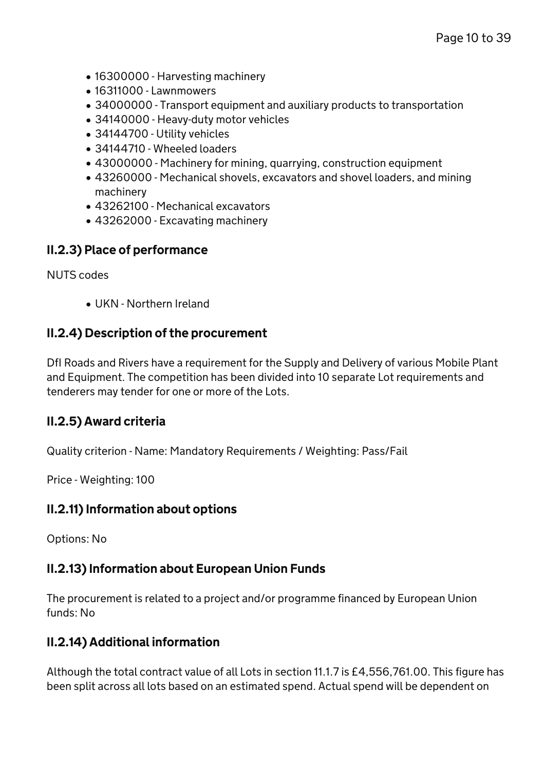- 16300000 Harvesting machinery
- 16311000 Lawnmowers
- 34000000 Transport equipment and auxiliary products to transportation
- 34140000 Heavy-duty motor vehicles
- 34144700 Utility vehicles
- 34144710 Wheeled loaders
- 43000000 Machinery for mining, quarrying, construction equipment
- 43260000 Mechanical shovels, excavators and shovel loaders, and mining machinery
- 43262100 Mechanical excavators
- 43262000 Excavating machinery

#### II.2.3) Place of performance

NUTS codes

UKN - Northern Ireland

### II.2.4) Description of the procurement

DfI Roads and Rivers have a requirement for the Supply and Delivery of various Mobile Plant and Equipment. The competition has been divided into 10 separate Lot requirements and tenderers may tender for one or more of the Lots.

### II.2.5) Award criteria

Quality criterion - Name: Mandatory Requirements / Weighting: Pass/Fail

Price - Weighting: 100

#### II.2.11) Information about options

Options: No

### II.2.13) Information about European Union Funds

The procurement is related to a project and/or programme financed by European Union funds: No

### II.2.14) Additional information

Although the total contract value of all Lots in section 11.1.7 is £4,556,761.00. This figure has been split across all lots based on an estimated spend. Actual spend will be dependent on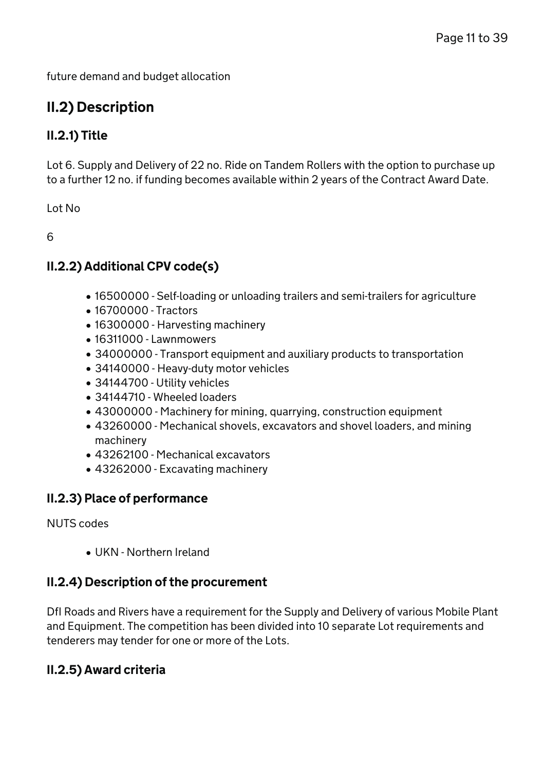future demand and budget allocation

# II.2) Description

### II.2.1) Title

Lot 6. Supply and Delivery of 22 no. Ride on Tandem Rollers with the option to purchase up to a further 12 no. if funding becomes available within 2 years of the Contract Award Date.

Lot No

6

### II.2.2) Additional CPV code(s)

- 16500000 Self-loading or unloading trailers and semi-trailers for agriculture
- 16700000 Tractors
- 16300000 Harvesting machinery
- 16311000 Lawnmowers
- 34000000 Transport equipment and auxiliary products to transportation
- 34140000 Heavy-duty motor vehicles
- 34144700 Utility vehicles
- 34144710 Wheeled loaders
- 43000000 Machinery for mining, quarrying, construction equipment
- 43260000 Mechanical shovels, excavators and shovel loaders, and mining machinery
- 43262100 Mechanical excavators
- 43262000 Excavating machinery

### II.2.3) Place of performance

NUTS codes

UKN - Northern Ireland

### II.2.4) Description of the procurement

DfI Roads and Rivers have a requirement for the Supply and Delivery of various Mobile Plant and Equipment. The competition has been divided into 10 separate Lot requirements and tenderers may tender for one or more of the Lots.

### II.2.5) Award criteria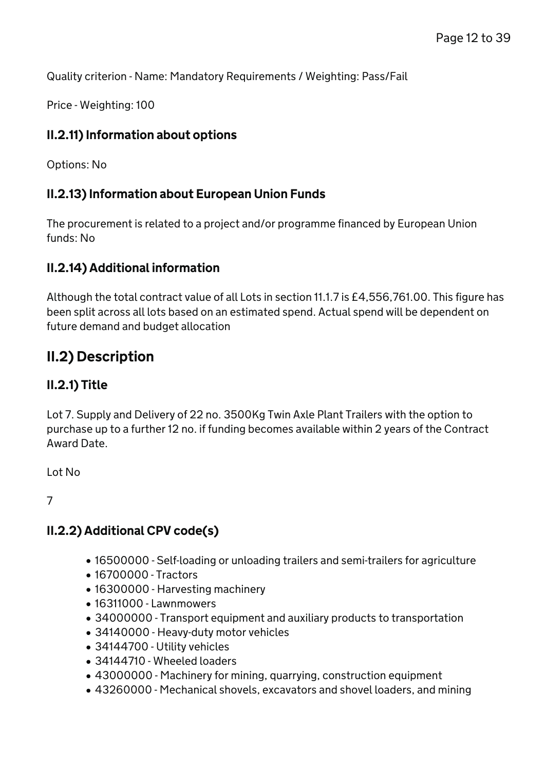Quality criterion - Name: Mandatory Requirements / Weighting: Pass/Fail

Price - Weighting: 100

### II.2.11) Information about options

Options: No

### II.2.13) Information about European Union Funds

The procurement is related to a project and/or programme financed by European Union funds: No

### II.2.14) Additional information

Although the total contract value of all Lots in section 11.1.7 is £4,556,761.00. This figure has been split across all lots based on an estimated spend. Actual spend will be dependent on future demand and budget allocation

## II.2) Description

### II.2.1) Title

Lot 7. Supply and Delivery of 22 no. 3500Kg Twin Axle Plant Trailers with the option to purchase up to a further 12 no. if funding becomes available within 2 years of the Contract Award Date.

Lot No

7

### II.2.2) Additional CPV code(s)

- 16500000 Self-loading or unloading trailers and semi-trailers for agriculture
- 16700000 Tractors
- 16300000 Harvesting machinery
- 16311000 Lawnmowers
- 34000000 Transport equipment and auxiliary products to transportation
- 34140000 Heavy-duty motor vehicles
- 34144700 Utility vehicles
- 34144710 Wheeled loaders
- 43000000 Machinery for mining, quarrying, construction equipment
- 43260000 Mechanical shovels, excavators and shovel loaders, and mining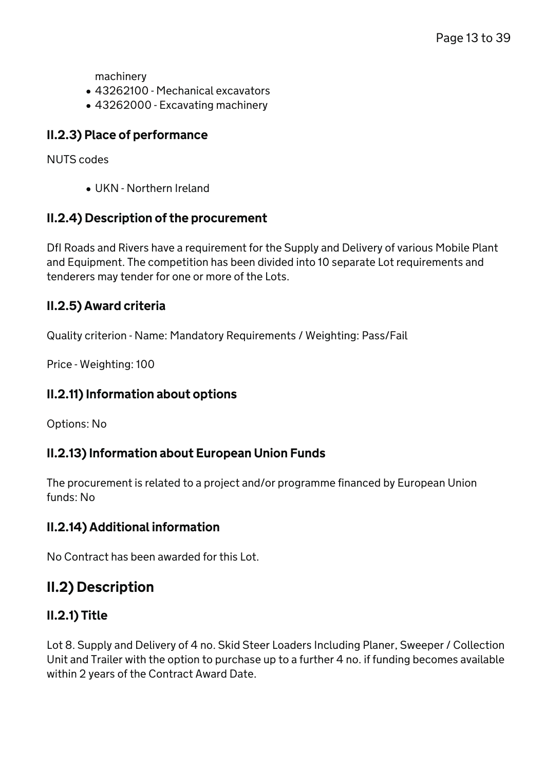machinery

- 43262100 Mechanical excavators
- 43262000 Excavating machinery

### II.2.3) Place of performance

NUTS codes

UKN - Northern Ireland

#### II.2.4) Description of the procurement

DfI Roads and Rivers have a requirement for the Supply and Delivery of various Mobile Plant and Equipment. The competition has been divided into 10 separate Lot requirements and tenderers may tender for one or more of the Lots.

#### II.2.5) Award criteria

Quality criterion - Name: Mandatory Requirements / Weighting: Pass/Fail

Price - Weighting: 100

### II.2.11) Information about options

Options: No

### II.2.13) Information about European Union Funds

The procurement is related to a project and/or programme financed by European Union funds: No

### II.2.14) Additional information

No Contract has been awarded for this Lot.

## II.2) Description

### II.2.1) Title

Lot 8. Supply and Delivery of 4 no. Skid Steer Loaders Including Planer, Sweeper / Collection Unit and Trailer with the option to purchase up to a further 4 no. if funding becomes available within 2 years of the Contract Award Date.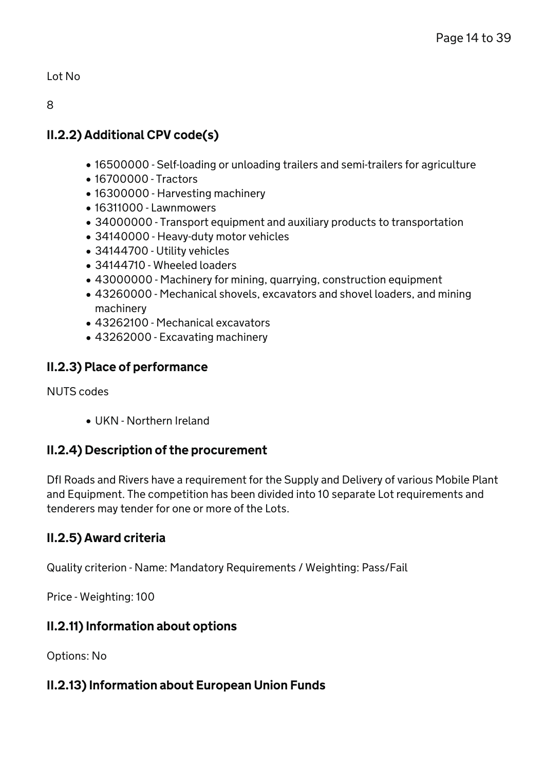Lot No

8

## II.2.2) Additional CPV code(s)

- 16500000 Self-loading or unloading trailers and semi-trailers for agriculture
- 16700000 Tractors
- 16300000 Harvesting machinery
- 16311000 Lawnmowers
- 34000000 Transport equipment and auxiliary products to transportation
- 34140000 Heavy-duty motor vehicles
- 34144700 Utility vehicles
- 34144710 Wheeled loaders
- 43000000 Machinery for mining, quarrying, construction equipment
- 43260000 Mechanical shovels, excavators and shovel loaders, and mining machinery
- 43262100 Mechanical excavators
- 43262000 Excavating machinery

### II.2.3) Place of performance

NUTS codes

UKN - Northern Ireland

### II.2.4) Description of the procurement

DfI Roads and Rivers have a requirement for the Supply and Delivery of various Mobile Plant and Equipment. The competition has been divided into 10 separate Lot requirements and tenderers may tender for one or more of the Lots.

## II.2.5) Award criteria

Quality criterion - Name: Mandatory Requirements / Weighting: Pass/Fail

Price - Weighting: 100

## II.2.11) Information about options

Options: No

### II.2.13) Information about European Union Funds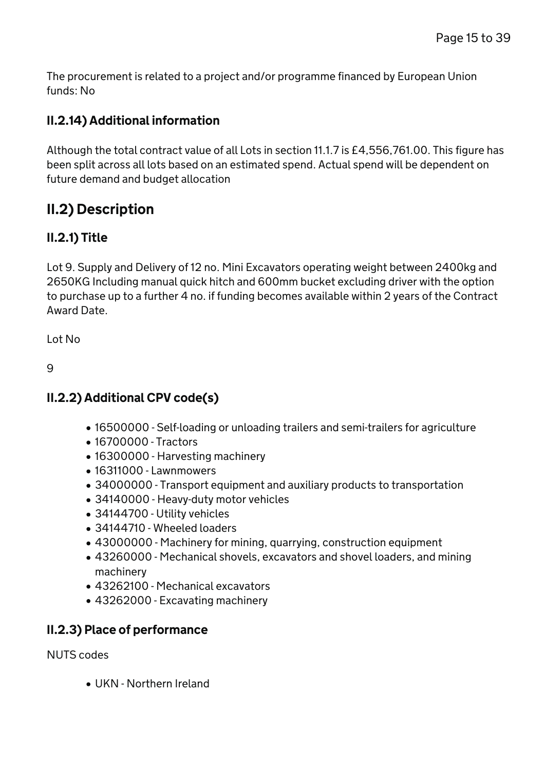The procurement is related to a project and/or programme financed by European Union funds: No

### II.2.14) Additional information

Although the total contract value of all Lots in section 11.1.7 is £4,556,761.00. This figure has been split across all lots based on an estimated spend. Actual spend will be dependent on future demand and budget allocation

# II.2) Description

### II.2.1) Title

Lot 9. Supply and Delivery of 12 no. Mini Excavators operating weight between 2400kg and 2650KG Including manual quick hitch and 600mm bucket excluding driver with the option to purchase up to a further 4 no. if funding becomes available within 2 years of the Contract Award Date.

Lot No

 $\mathsf{Q}$ 

## II.2.2) Additional CPV code(s)

- 16500000 Self-loading or unloading trailers and semi-trailers for agriculture
- 16700000 Tractors
- 16300000 Harvesting machinery
- 16311000 Lawnmowers
- 34000000 Transport equipment and auxiliary products to transportation
- 34140000 Heavy-duty motor vehicles
- 34144700 Utility vehicles
- 34144710 Wheeled loaders
- 43000000 Machinery for mining, quarrying, construction equipment
- 43260000 Mechanical shovels, excavators and shovel loaders, and mining machinery
- 43262100 Mechanical excavators
- 43262000 Excavating machinery

### II.2.3) Place of performance

NUTS codes

UKN - Northern Ireland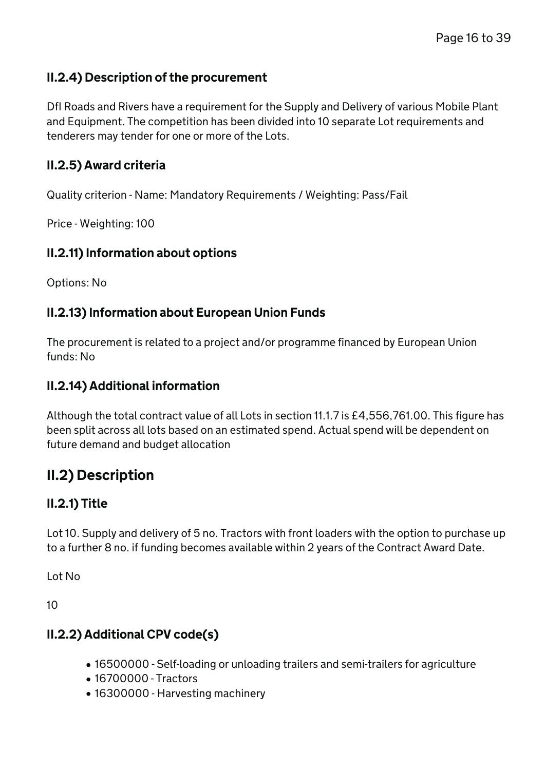### II.2.4) Description of the procurement

DfI Roads and Rivers have a requirement for the Supply and Delivery of various Mobile Plant and Equipment. The competition has been divided into 10 separate Lot requirements and tenderers may tender for one or more of the Lots.

### II.2.5) Award criteria

Quality criterion - Name: Mandatory Requirements / Weighting: Pass/Fail

Price - Weighting: 100

#### II.2.11) Information about options

Options: No

### II.2.13) Information about European Union Funds

The procurement is related to a project and/or programme financed by European Union funds: No

### II.2.14) Additional information

Although the total contract value of all Lots in section 11.1.7 is £4,556,761.00. This figure has been split across all lots based on an estimated spend. Actual spend will be dependent on future demand and budget allocation

## II.2) Description

### II.2.1) Title

Lot 10. Supply and delivery of 5 no. Tractors with front loaders with the option to purchase up to a further 8 no. if funding becomes available within 2 years of the Contract Award Date.

Lot No

10

### II.2.2) Additional CPV code(s)

- 16500000 Self-loading or unloading trailers and semi-trailers for agriculture
- 16700000 Tractors
- 16300000 Harvesting machinery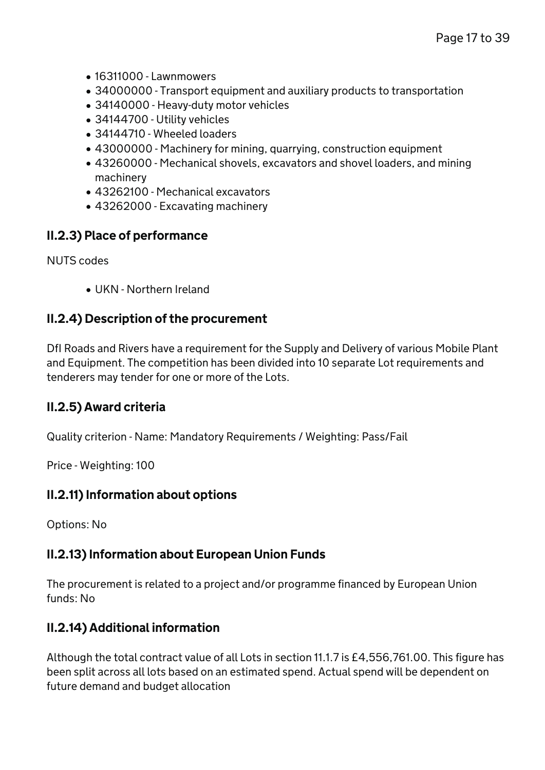- $\bullet$  16311000 Lawnmowers
- 34000000 Transport equipment and auxiliary products to transportation
- 34140000 Heavy-duty motor vehicles
- 34144700 Utility vehicles
- 34144710 Wheeled loaders
- 43000000 Machinery for mining, quarrying, construction equipment
- 43260000 Mechanical shovels, excavators and shovel loaders, and mining machinery
- 43262100 Mechanical excavators
- 43262000 Excavating machinery

### II.2.3) Place of performance

NUTS codes

UKN - Northern Ireland

#### II.2.4) Description of the procurement

DfI Roads and Rivers have a requirement for the Supply and Delivery of various Mobile Plant and Equipment. The competition has been divided into 10 separate Lot requirements and tenderers may tender for one or more of the Lots.

#### II.2.5) Award criteria

Quality criterion - Name: Mandatory Requirements / Weighting: Pass/Fail

Price - Weighting: 100

#### II.2.11) Information about options

Options: No

#### II.2.13) Information about European Union Funds

The procurement is related to a project and/or programme financed by European Union funds: No

### II.2.14) Additional information

Although the total contract value of all Lots in section 11.1.7 is £4,556,761.00. This figure has been split across all lots based on an estimated spend. Actual spend will be dependent on future demand and budget allocation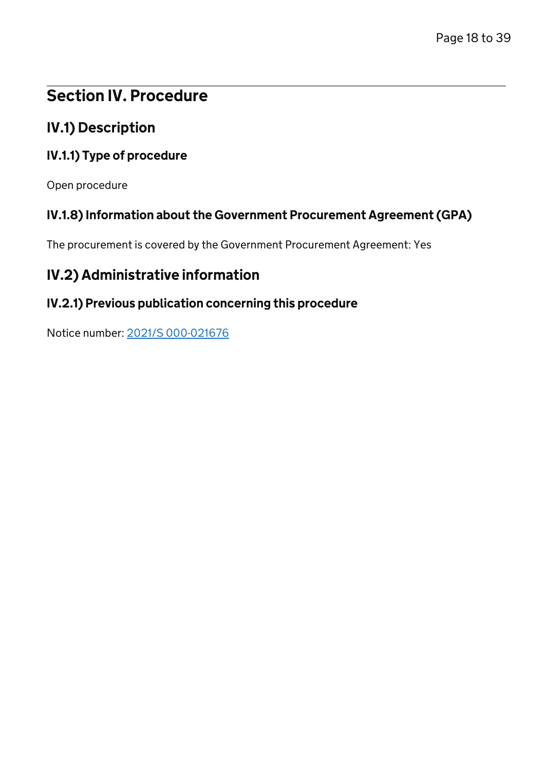# Section IV. Procedure

## IV.1) Description

### IV.1.1) Type of procedure

Open procedure

### IV.1.8) Information about the Government Procurement Agreement (GPA)

The procurement is covered by the Government Procurement Agreement: Yes

## IV.2) Administrative information

# IV.2.1) Previous publication concerning this procedure

Notice number: [2021/S 000-021676](/Notice/021676-2021)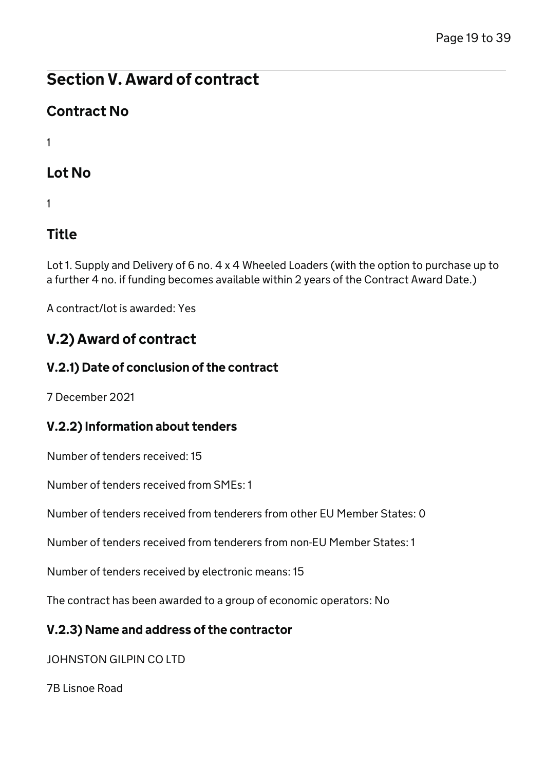# Contract No

1

# Lot No

1

# Title

Lot 1. Supply and Delivery of 6 no. 4 x 4 Wheeled Loaders (with the option to purchase up to a further 4 no. if funding becomes available within 2 years of the Contract Award Date.)

A contract/lot is awarded: Yes

# V.2) Award of contract

### V.2.1) Date of conclusion of the contract

7 December 2021

### V.2.2) Information about tenders

Number of tenders received: 15

Number of tenders received from SMEs: 1

Number of tenders received from tenderers from other EU Member States: 0

Number of tenders received from tenderers from non-EU Member States: 1

Number of tenders received by electronic means: 15

The contract has been awarded to a group of economic operators: No

### V.2.3) Name and address of the contractor

JOHNSTON GILPIN CO LTD

7B Lisnoe Road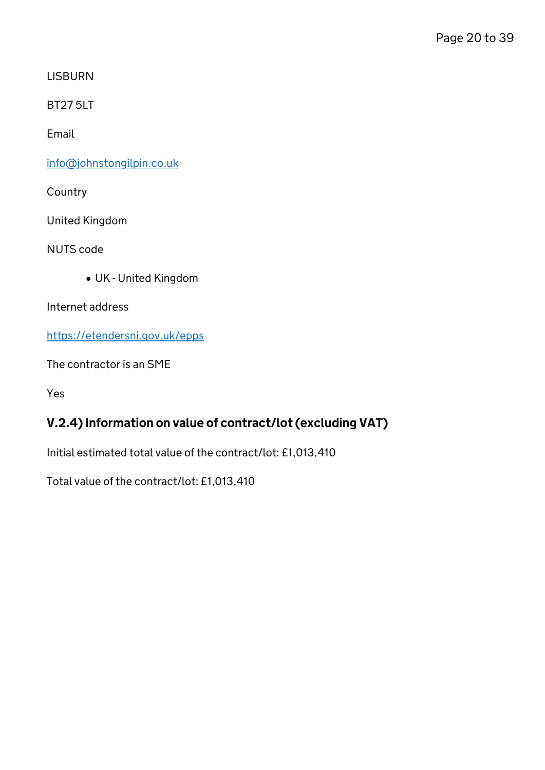**LISBURN** 

BT27 5LT

Email

[info@johnstongilpin.co.uk](mailto:info@johnstongilpin.co.uk)

**Country** 

United Kingdom

NUTS code

UK - United Kingdom

Internet address

<https://etendersni.gov.uk/epps>

The contractor is an SME

Yes

## V.2.4) Information on value of contract/lot (excluding VAT)

Initial estimated total value of the contract/lot: £1,013,410

Total value of the contract/lot: £1,013,410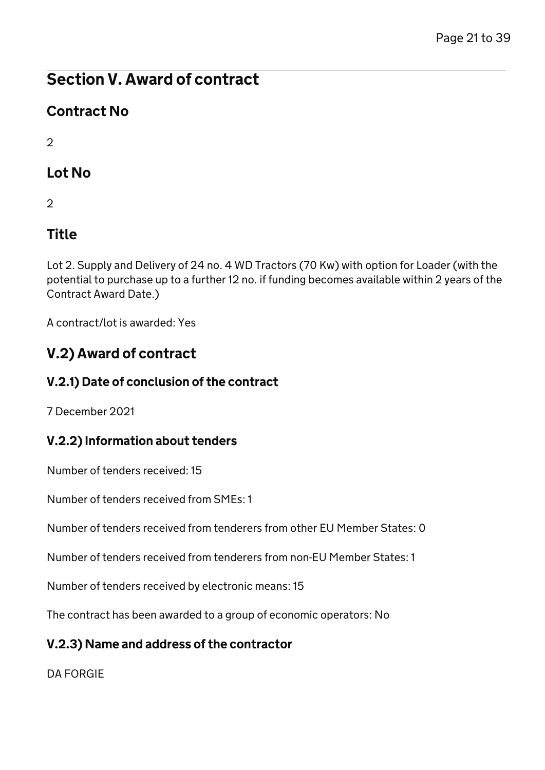# Contract No

 $\mathcal{D}$ 

# Lot No

 $\mathcal{D}$ 

# Title

Lot 2. Supply and Delivery of 24 no. 4 WD Tractors (70 Kw) with option for Loader (with the potential to purchase up to a further 12 no. if funding becomes available within 2 years of the Contract Award Date.)

A contract/lot is awarded: Yes

# V.2) Award of contract

## V.2.1) Date of conclusion of the contract

7 December 2021

## V.2.2) Information about tenders

Number of tenders received: 15

Number of tenders received from SMEs: 1

Number of tenders received from tenderers from other EU Member States: 0

Number of tenders received from tenderers from non-EU Member States: 1

Number of tenders received by electronic means: 15

The contract has been awarded to a group of economic operators: No

## V.2.3) Name and address of the contractor

DA FORGIE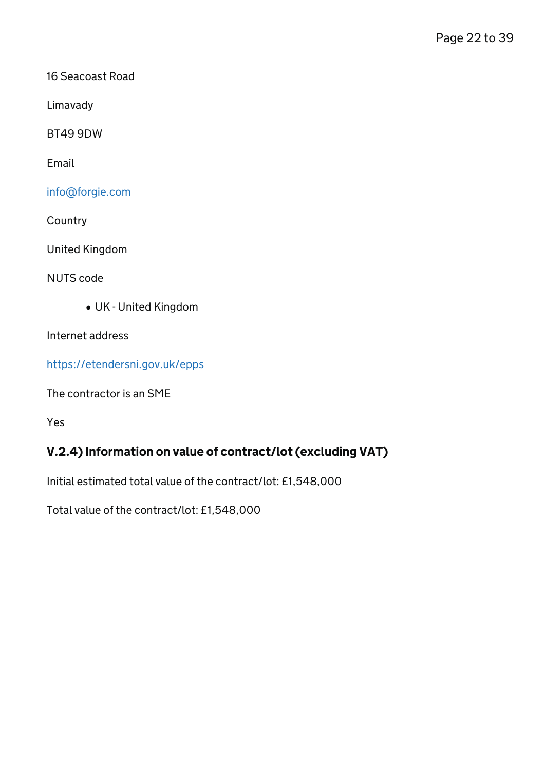16 Seacoast Road

Limavady

BT49 9DW

Email

[info@forgie.com](mailto:info@forgie.com)

**Country** 

United Kingdom

NUTS code

UK - United Kingdom

Internet address

<https://etendersni.gov.uk/epps>

The contractor is an SME

Yes

## V.2.4) Information on value of contract/lot (excluding VAT)

Initial estimated total value of the contract/lot: £1,548,000

Total value of the contract/lot: £1,548,000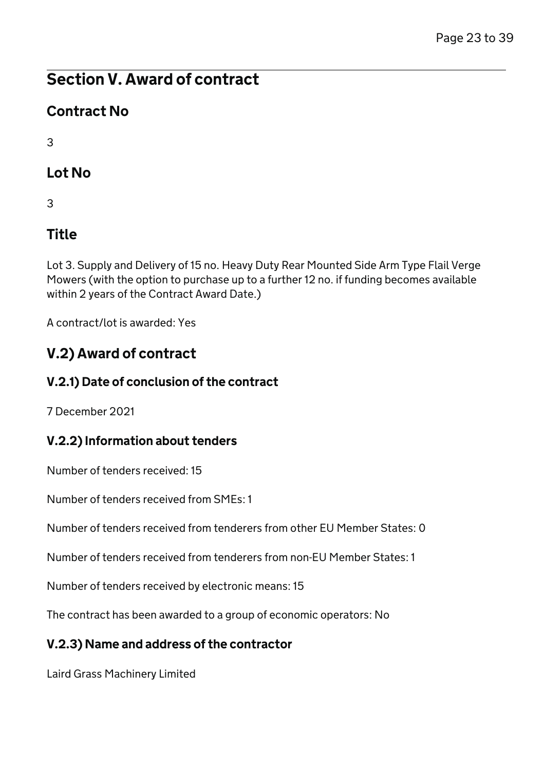# Contract No

3

# Lot No

3

# Title

Lot 3. Supply and Delivery of 15 no. Heavy Duty Rear Mounted Side Arm Type Flail Verge Mowers (with the option to purchase up to a further 12 no. if funding becomes available within 2 years of the Contract Award Date.)

A contract/lot is awarded: Yes

# V.2) Award of contract

## V.2.1) Date of conclusion of the contract

7 December 2021

## V.2.2) Information about tenders

Number of tenders received: 15

Number of tenders received from SMEs: 1

Number of tenders received from tenderers from other EU Member States: 0

Number of tenders received from tenderers from non-EU Member States: 1

Number of tenders received by electronic means: 15

The contract has been awarded to a group of economic operators: No

## V.2.3) Name and address of the contractor

Laird Grass Machinery Limited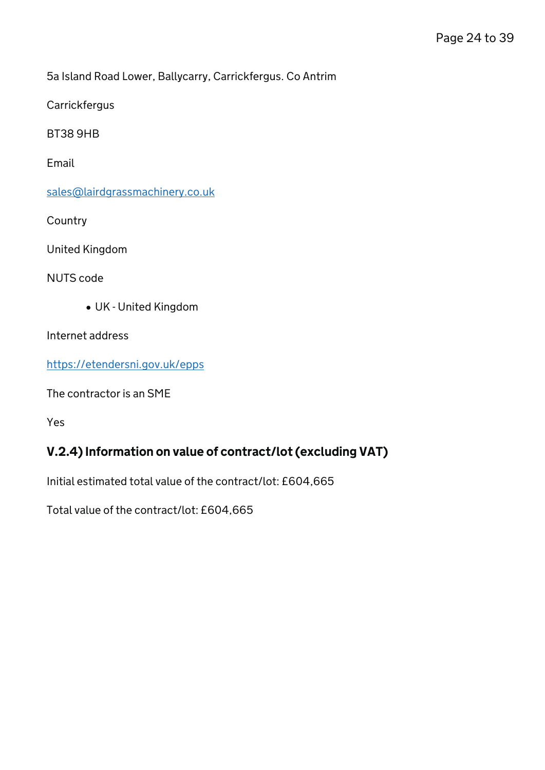5a Island Road Lower, Ballycarry, Carrickfergus. Co Antrim

**Carrickfergus** 

BT38 9HB

Email

[sales@lairdgrassmachinery.co.uk](mailto:sales@lairdgrassmachinery.co.uk)

**Country** 

United Kingdom

NUTS code

UK - United Kingdom

Internet address

<https://etendersni.gov.uk/epps>

The contractor is an SME

Yes

### V.2.4) Information on value of contract/lot (excluding VAT)

Initial estimated total value of the contract/lot: £604,665

Total value of the contract/lot: £604,665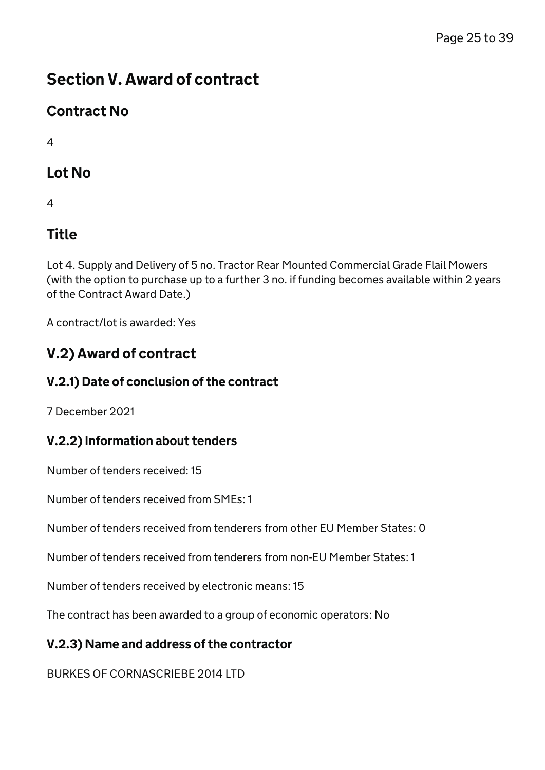# Contract No

 $\Delta$ 

# Lot No

4

# Title

Lot 4. Supply and Delivery of 5 no. Tractor Rear Mounted Commercial Grade Flail Mowers (with the option to purchase up to a further 3 no. if funding becomes available within 2 years of the Contract Award Date.)

A contract/lot is awarded: Yes

# V.2) Award of contract

## V.2.1) Date of conclusion of the contract

7 December 2021

## V.2.2) Information about tenders

Number of tenders received: 15

Number of tenders received from SMEs: 1

Number of tenders received from tenderers from other EU Member States: 0

Number of tenders received from tenderers from non-EU Member States: 1

Number of tenders received by electronic means: 15

The contract has been awarded to a group of economic operators: No

## V.2.3) Name and address of the contractor

BURKES OF CORNASCRIEBE 2014 LTD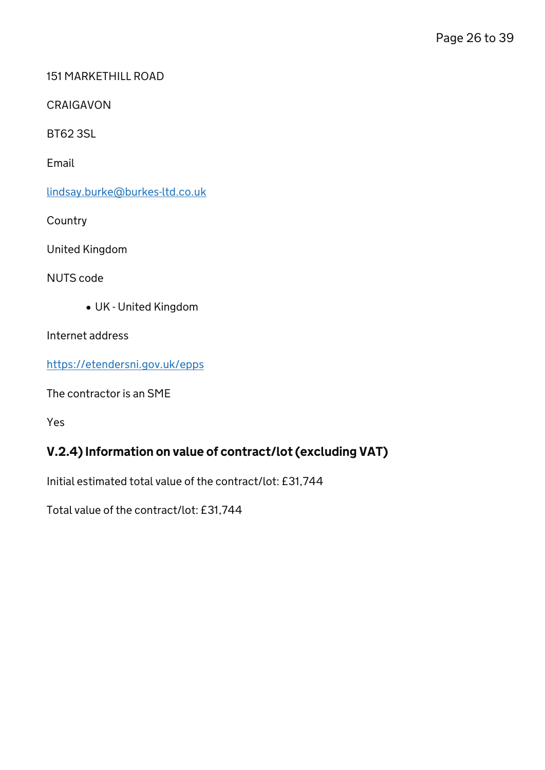#### 151 MARKETHILL ROAD

CRAIGAVON

BT62 3SL

Email

[lindsay.burke@burkes-ltd.co.uk](mailto:lindsay.burke@burkes-ltd.co.uk)

**Country** 

United Kingdom

NUTS code

UK - United Kingdom

Internet address

<https://etendersni.gov.uk/epps>

The contractor is an SME

Yes

## V.2.4) Information on value of contract/lot (excluding VAT)

Initial estimated total value of the contract/lot: £31,744

Total value of the contract/lot: £31,744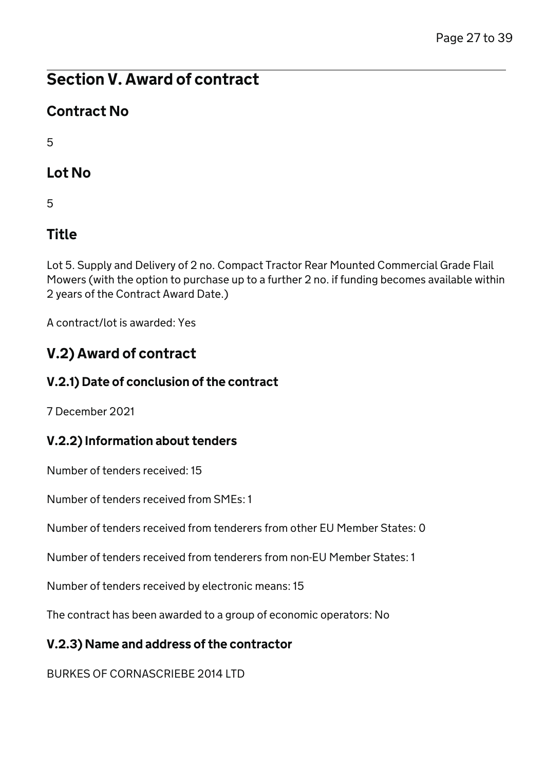# Contract No

5

# Lot No

5

# Title

Lot 5. Supply and Delivery of 2 no. Compact Tractor Rear Mounted Commercial Grade Flail Mowers (with the option to purchase up to a further 2 no. if funding becomes available within 2 years of the Contract Award Date.)

A contract/lot is awarded: Yes

# V.2) Award of contract

## V.2.1) Date of conclusion of the contract

7 December 2021

## V.2.2) Information about tenders

Number of tenders received: 15

Number of tenders received from SMEs: 1

Number of tenders received from tenderers from other EU Member States: 0

Number of tenders received from tenderers from non-EU Member States: 1

Number of tenders received by electronic means: 15

The contract has been awarded to a group of economic operators: No

## V.2.3) Name and address of the contractor

BURKES OF CORNASCRIEBE 2014 LTD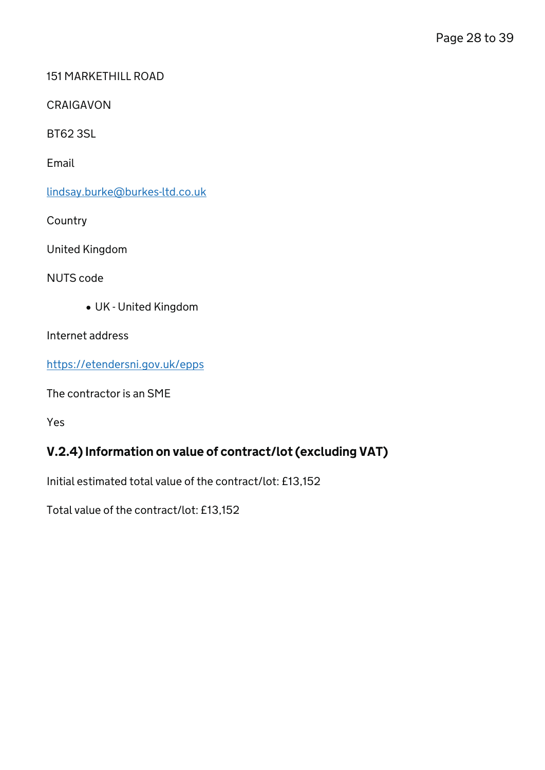#### 151 MARKETHILL ROAD

CRAIGAVON

BT62 3SL

Email

[lindsay.burke@burkes-ltd.co.uk](mailto:lindsay.burke@burkes-ltd.co.uk)

**Country** 

United Kingdom

NUTS code

UK - United Kingdom

Internet address

<https://etendersni.gov.uk/epps>

The contractor is an SME

Yes

### V.2.4) Information on value of contract/lot (excluding VAT)

Initial estimated total value of the contract/lot: £13,152

Total value of the contract/lot: £13,152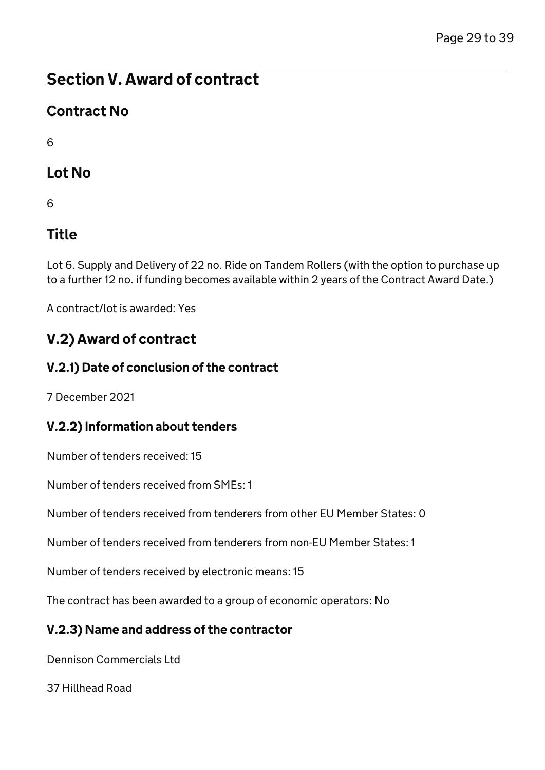# Contract No

6

# Lot No

6

# Title

Lot 6. Supply and Delivery of 22 no. Ride on Tandem Rollers (with the option to purchase up to a further 12 no. if funding becomes available within 2 years of the Contract Award Date.)

A contract/lot is awarded: Yes

# V.2) Award of contract

## V.2.1) Date of conclusion of the contract

7 December 2021

## V.2.2) Information about tenders

Number of tenders received: 15

Number of tenders received from SMEs: 1

Number of tenders received from tenderers from other EU Member States: 0

Number of tenders received from tenderers from non-EU Member States: 1

Number of tenders received by electronic means: 15

The contract has been awarded to a group of economic operators: No

## V.2.3) Name and address of the contractor

Dennison Commercials Ltd

37 Hillhead Road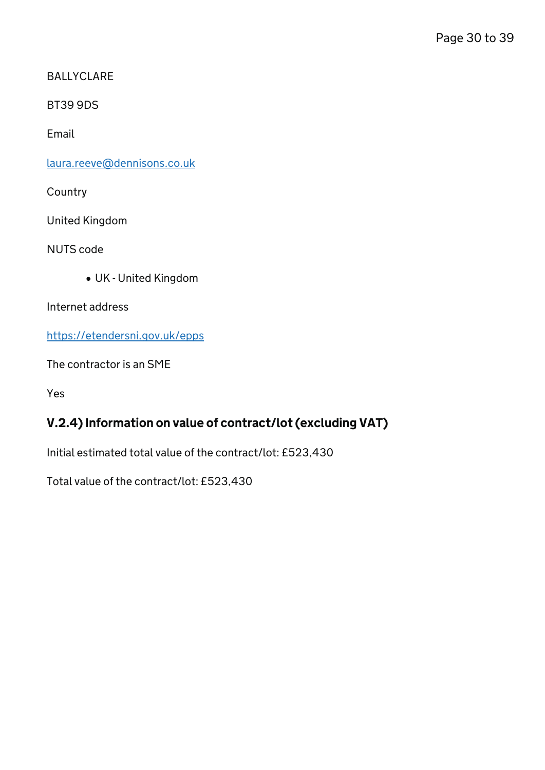BALLYCLARE

BT39 9DS

Email

[laura.reeve@dennisons.co.uk](mailto:laura.reeve@dennisons.co.uk)

**Country** 

United Kingdom

NUTS code

UK - United Kingdom

Internet address

<https://etendersni.gov.uk/epps>

The contractor is an SME

Yes

## V.2.4) Information on value of contract/lot (excluding VAT)

Initial estimated total value of the contract/lot: £523,430

Total value of the contract/lot: £523,430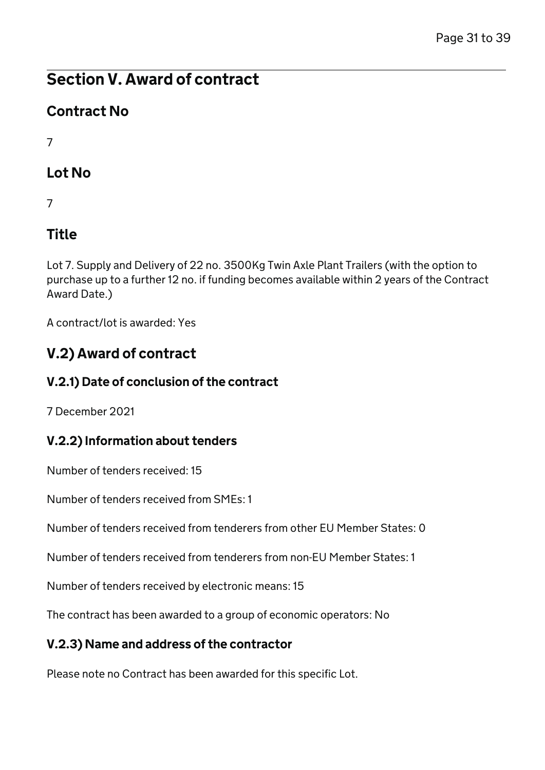# Contract No

7

# Lot No

7

# Title

Lot 7. Supply and Delivery of 22 no. 3500Kg Twin Axle Plant Trailers (with the option to purchase up to a further 12 no. if funding becomes available within 2 years of the Contract Award Date.)

A contract/lot is awarded: Yes

# V.2) Award of contract

## V.2.1) Date of conclusion of the contract

7 December 2021

## V.2.2) Information about tenders

Number of tenders received: 15

Number of tenders received from SMEs: 1

Number of tenders received from tenderers from other EU Member States: 0

Number of tenders received from tenderers from non-EU Member States: 1

Number of tenders received by electronic means: 15

The contract has been awarded to a group of economic operators: No

## V.2.3) Name and address of the contractor

Please note no Contract has been awarded for this specific Lot.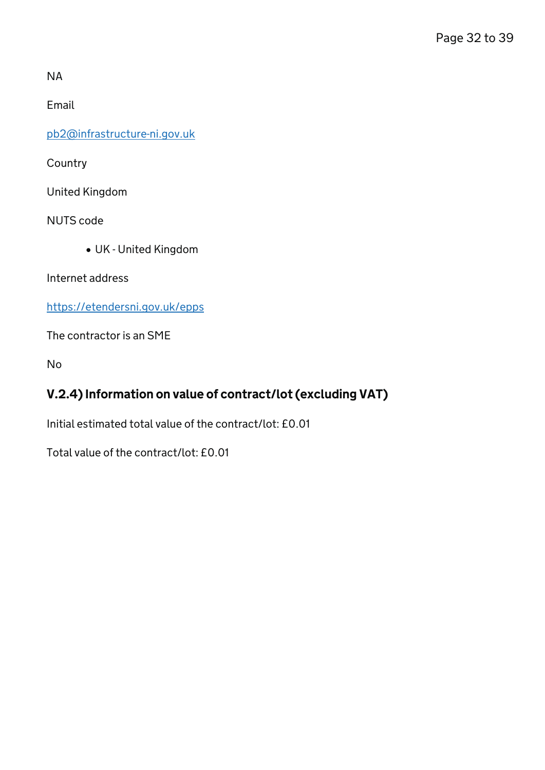NA

Email

[pb2@infrastructure-ni.gov.uk](mailto:pb2@infrastructure-ni.gov.uk)

Country

United Kingdom

NUTS code

UK - United Kingdom

Internet address

<https://etendersni.gov.uk/epps>

The contractor is an SME

No

### V.2.4) Information on value of contract/lot (excluding VAT)

Initial estimated total value of the contract/lot: £0.01

Total value of the contract/lot: £0.01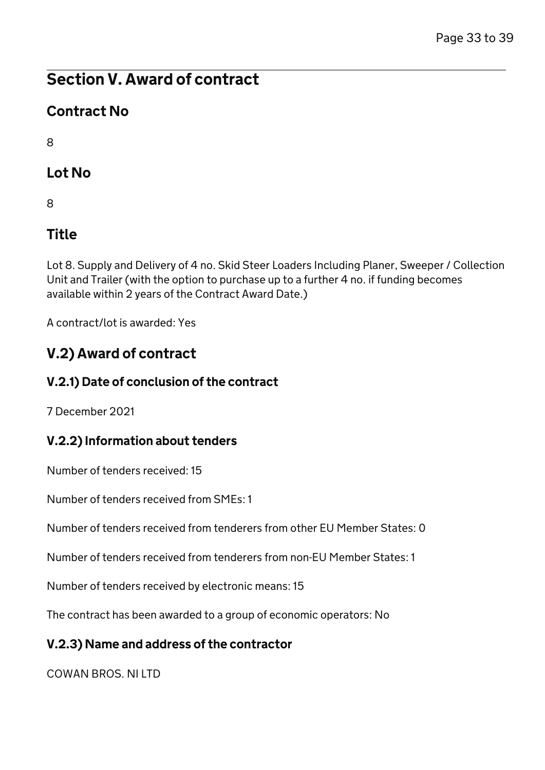# Contract No

8

# Lot No

8

# Title

Lot 8. Supply and Delivery of 4 no. Skid Steer Loaders Including Planer, Sweeper / Collection Unit and Trailer (with the option to purchase up to a further 4 no. if funding becomes available within 2 years of the Contract Award Date.)

A contract/lot is awarded: Yes

# V.2) Award of contract

## V.2.1) Date of conclusion of the contract

7 December 2021

## V.2.2) Information about tenders

Number of tenders received: 15

Number of tenders received from SMEs: 1

Number of tenders received from tenderers from other EU Member States: 0

Number of tenders received from tenderers from non-EU Member States: 1

Number of tenders received by electronic means: 15

The contract has been awarded to a group of economic operators: No

## V.2.3) Name and address of the contractor

COWAN BROS. NI LTD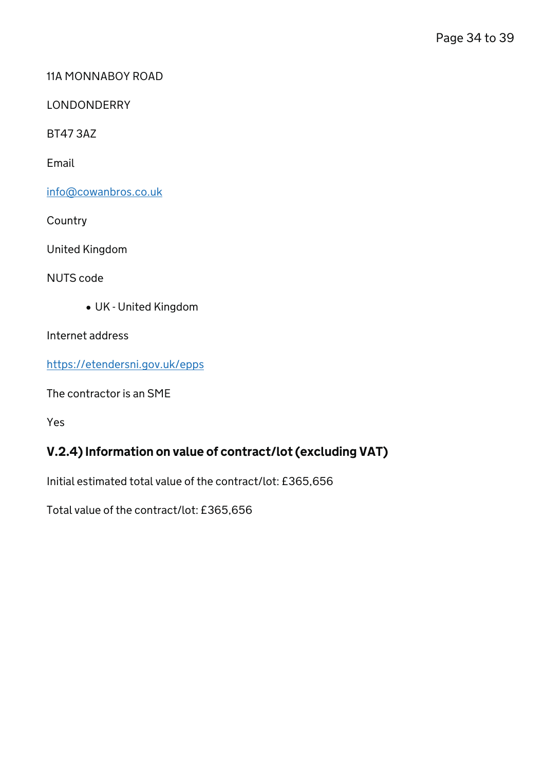#### 11A MONNABOY ROAD

LONDONDERRY

BT47 3AZ

Email

[info@cowanbros.co.uk](mailto:info@cowanbros.co.uk)

**Country** 

United Kingdom

NUTS code

UK - United Kingdom

Internet address

<https://etendersni.gov.uk/epps>

The contractor is an SME

Yes

## V.2.4) Information on value of contract/lot (excluding VAT)

Initial estimated total value of the contract/lot: £365,656

Total value of the contract/lot: £365,656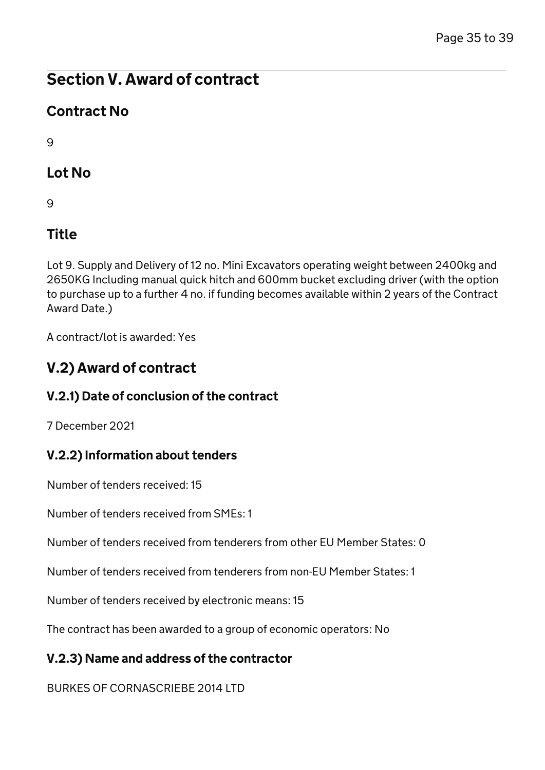# Contract No

 $\mathsf{Q}$ 

# Lot No

9

# Title

Lot 9. Supply and Delivery of 12 no. Mini Excavators operating weight between 2400kg and 2650KG Including manual quick hitch and 600mm bucket excluding driver (with the option to purchase up to a further 4 no. if funding becomes available within 2 years of the Contract Award Date.)

A contract/lot is awarded: Yes

# V.2) Award of contract

## V.2.1) Date of conclusion of the contract

7 December 2021

## V.2.2) Information about tenders

Number of tenders received: 15

Number of tenders received from SMEs: 1

Number of tenders received from tenderers from other EU Member States: 0

Number of tenders received from tenderers from non-EU Member States: 1

Number of tenders received by electronic means: 15

The contract has been awarded to a group of economic operators: No

## V.2.3) Name and address of the contractor

BURKES OF CORNASCRIEBE 2014 LTD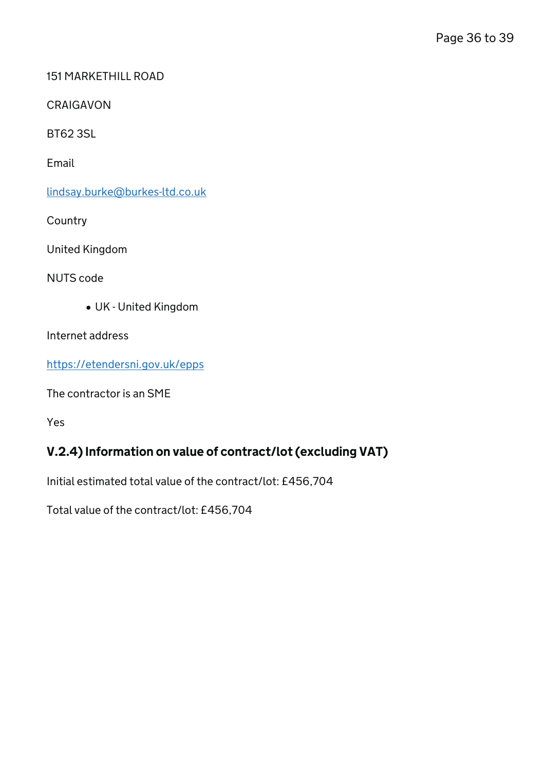#### 151 MARKETHILL ROAD

CRAIGAVON

BT62 3SL

Email

[lindsay.burke@burkes-ltd.co.uk](mailto:lindsay.burke@burkes-ltd.co.uk)

**Country** 

United Kingdom

NUTS code

UK - United Kingdom

Internet address

<https://etendersni.gov.uk/epps>

The contractor is an SME

Yes

### V.2.4) Information on value of contract/lot (excluding VAT)

Initial estimated total value of the contract/lot: £456,704

Total value of the contract/lot: £456,704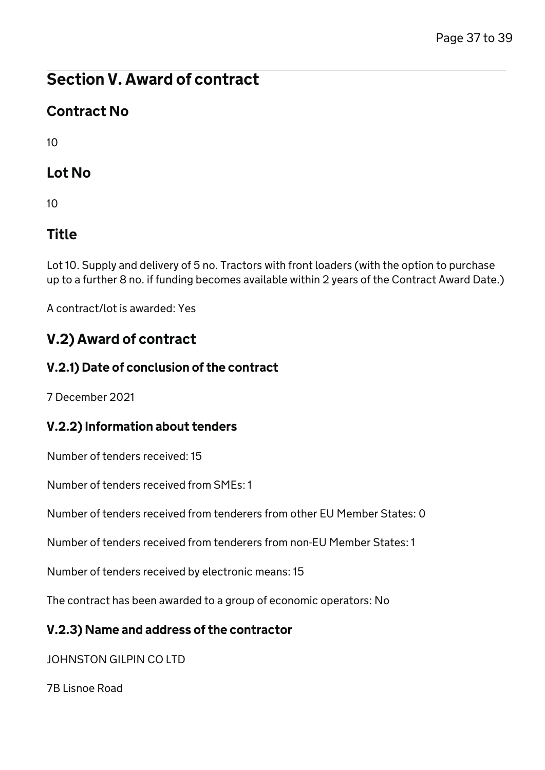# Contract No

 $1<sub>0</sub>$ 

# Lot No

10

# Title

Lot 10. Supply and delivery of 5 no. Tractors with front loaders (with the option to purchase up to a further 8 no. if funding becomes available within 2 years of the Contract Award Date.)

A contract/lot is awarded: Yes

# V.2) Award of contract

### V.2.1) Date of conclusion of the contract

7 December 2021

### V.2.2) Information about tenders

Number of tenders received: 15

Number of tenders received from SMEs: 1

Number of tenders received from tenderers from other EU Member States: 0

Number of tenders received from tenderers from non-EU Member States: 1

Number of tenders received by electronic means: 15

The contract has been awarded to a group of economic operators: No

### V.2.3) Name and address of the contractor

JOHNSTON GILPIN CO LTD

7B Lisnoe Road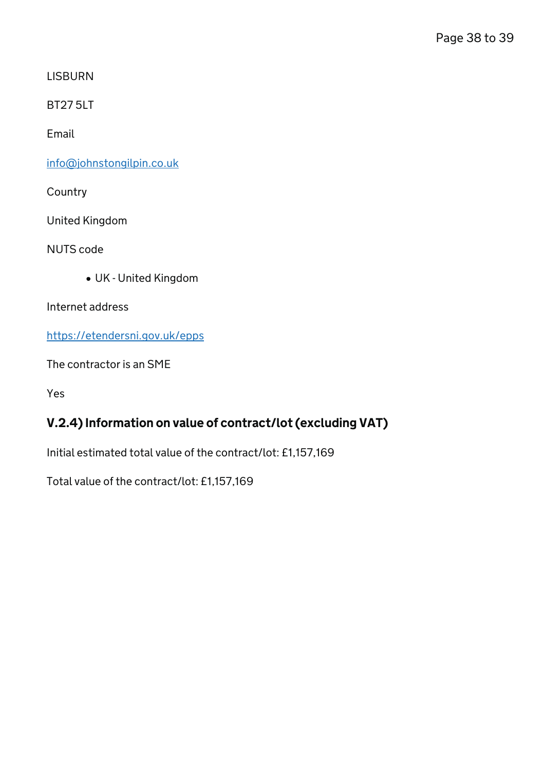**LISBURN** 

BT27 5LT

Email

[info@johnstongilpin.co.uk](mailto:info@johnstongilpin.co.uk)

**Country** 

United Kingdom

NUTS code

UK - United Kingdom

Internet address

<https://etendersni.gov.uk/epps>

The contractor is an SME

Yes

## V.2.4) Information on value of contract/lot (excluding VAT)

Initial estimated total value of the contract/lot: £1,157,169

Total value of the contract/lot: £1,157,169